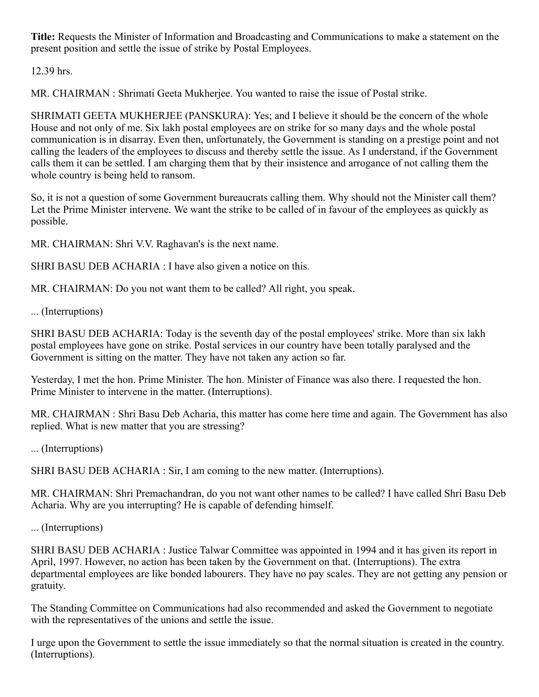Title: Requests the Minister of Information and Broadcasting and Communications to make a statement on the present position and settle the issue of strike by Postal Employees.

12.39 hrs.

MR. CHAIRMAN : Shrimati Geeta Mukherjee. You wanted to raise the issue of Postal strike.

SHRIMATI GEETA MUKHERJEE (PANSKURA): Yes; and I believe it should be the concern of the whole House and not only of me. Six lakh postal employees are on strike for so many days and the whole postal communication is in disarray. Even then, unfortunately, the Government is standing on a prestige point and not calling the leaders of the employees to discuss and thereby settle the issue. As I understand, if the Government calls them it can be settled. I am charging them that by their insistence and arrogance of not calling them the whole country is being held to ransom.

So, it is not a question of some Government bureaucrats calling them. Why should not the Minister call them? Let the Prime Minister intervene. We want the strike to be called of in favour of the employees as quickly as possible.

MR. CHAIRMAN: Shri V.V. Raghavan's is the next name.

SHRI BASU DEB ACHARIA : I have also given a notice on this.

MR. CHAIRMAN: Do you not want them to be called? All right, you speak.

... (Interruptions)

SHRI BASU DEB ACHARIA: Today is the seventh day of the postal employees' strike. More than six lakh postal employees have gone on strike. Postal services in our country have been totally paralysed and the Government is sitting on the matter. They have not taken any action so far.

Yesterday, I met the hon. Prime Minister. The hon. Minister of Finance was also there. I requested the hon. Prime Minister to intervene in the matter. (Interruptions).

MR. CHAIRMAN : Shri Basu Deb Acharia, this matter has come here time and again. The Government has also replied. What is new matter that you are stressing?

... (Interruptions)

SHRI BASU DEB ACHARIA : Sir, I am coming to the new matter. (Interruptions).

MR. CHAIRMAN: Shri Premachandran, do you not want other names to be called? I have called Shri Basu Deb Acharia. Why are you interrupting? He is capable of defending himself.

... (Interruptions)

SHRI BASU DEB ACHARIA : Justice Talwar Committee was appointed in 1994 and it has given its report in April, 1997. However, no action has been taken by the Government on that. (Interruptions). The extra departmental employees are like bonded labourers. They have no pay scales. They are not getting any pension or gratuity.

The Standing Committee on Communications had also recommended and asked the Government to negotiate with the representatives of the unions and settle the issue.

I urge upon the Government to settle the issue immediately so that the normal situation is created in the country. (Interruptions).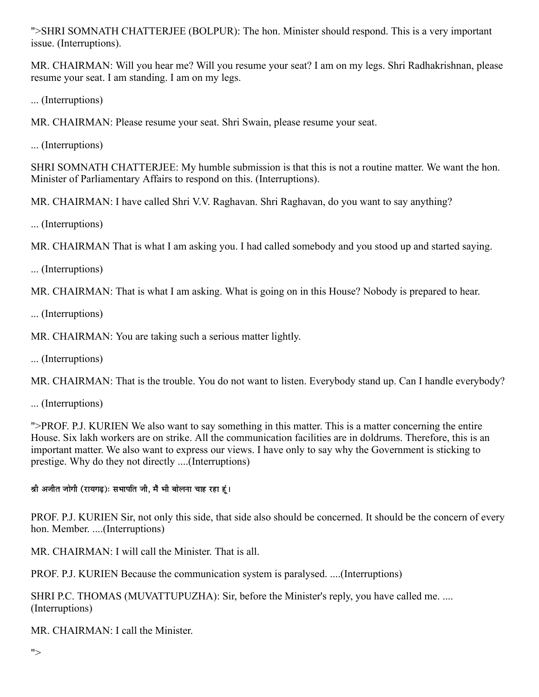">SHRI SOMNATH CHATTERJEE (BOLPUR): The hon. Minister should respond. This is a very important issue. (Interruptions).

MR. CHAIRMAN: Will you hear me? Will you resume your seat? I am on my legs. Shri Radhakrishnan, please resume your seat. I am standing. I am on my legs.

... (Interruptions)

MR. CHAIRMAN: Please resume your seat. Shri Swain, please resume your seat.

... (Interruptions)

SHRI SOMNATH CHATTERJEE: My humble submission is that this is not a routine matter. We want the hon. Minister of Parliamentary Affairs to respond on this. (Interruptions).

MR. CHAIRMAN: I have called Shri V.V. Raghavan. Shri Raghavan, do you want to say anything?

... (Interruptions)

MR. CHAIRMAN That is what I am asking you. I had called somebody and you stood up and started saying.

... (Interruptions)

MR. CHAIRMAN: That is what I am asking. What is going on in this House? Nobody is prepared to hear.

... (Interruptions)

MR. CHAIRMAN: You are taking such a serious matter lightly.

... (Interruptions)

MR. CHAIRMAN: That is the trouble. You do not want to listen. Everybody stand up. Can I handle everybody?

... (Interruptions)

">PROF. P.J. KURIEN We also want to say something in this matter. This is a matter concerning the entire House. Six lakh workers are on strike. All the communication facilities are in doldrums. Therefore, this is an important matter. We also want to express our views. I have only to say why the Government is sticking to prestige. Why do they not directly ....(Interruptions)

श्री अजीत जोगी (रायगढ़): सभापति जी, मैं भी बोलना चाह रहा हूं।

PROF. P.J. KURIEN Sir, not only this side, that side also should be concerned. It should be the concern of every hon. Member. ....(Interruptions)

MR. CHAIRMAN: I will call the Minister. That is all.

PROF. P.J. KURIEN Because the communication system is paralysed. ....(Interruptions)

SHRI P.C. THOMAS (MUVATTUPUZHA): Sir, before the Minister's reply, you have called me. .... (Interruptions)

MR. CHAIRMAN: I call the Minister.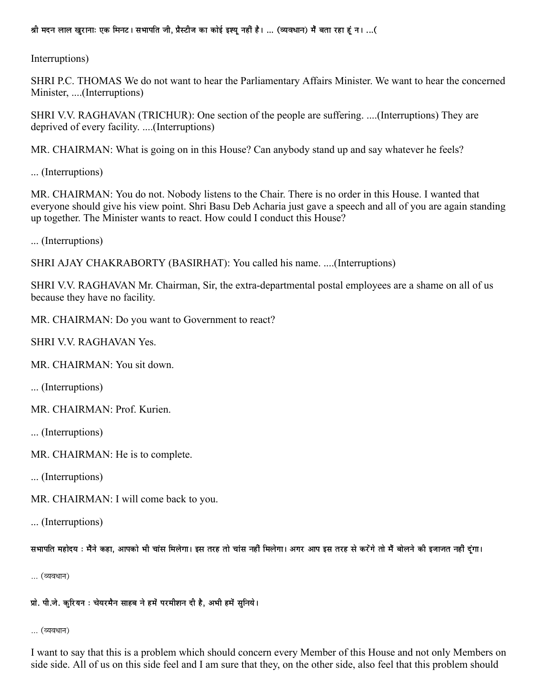श्री मदन लाल खुरानाः एक मिनट। सभापति जी, प्रैस्टीज का कोई इश्यु नहीं है। ... (व्यवधान) मैं बता रहा हूं न। ...(

Interruptions)

SHRI P.C. THOMAS We do not want to hear the Parliamentary Affairs Minister. We want to hear the concerned Minister, ....(Interruptions)

SHRI V.V. RAGHAVAN (TRICHUR): One section of the people are suffering. ....(Interruptions) They are deprived of every facility. ....(Interruptions)

MR. CHAIRMAN: What is going on in this House? Can anybody stand up and say whatever he feels?

... (Interruptions)

MR. CHAIRMAN: You do not. Nobody listens to the Chair. There is no order in this House. I wanted that everyone should give his view point. Shri Basu Deb Acharia just gave a speech and all of you are again standing up together. The Minister wants to react. How could I conduct this House?

... (Interruptions)

SHRI AJAY CHAKRABORTY (BASIRHAT): You called his name. ....(Interruptions)

SHRI V.V. RAGHAVAN Mr. Chairman, Sir, the extra-departmental postal employees are a shame on all of us because they have no facility.

MR. CHAIRMAN: Do you want to Government to react?

**SHRI V.V. RAGHAVAN Yes.** 

MR. CHAIRMAN: You sit down.

... (Interruptions)

MR. CHAIRMAN: Prof. Kurien.

... (Interruptions)

MR. CHAIRMAN: He is to complete.

... (Interruptions)

MR. CHAIRMAN: I will come back to you.

... (Interruptions)

सभापति महोदय : मैंने कहा, आपको भी चांस मिलेगा। इस तरह तो चांस नहीं मिलेगा। अगर आप इस तरह से करेंगे तो मैं बोलने की इजाजत नहीं दंगा।

... (व्यवधान)

प्रो. पी.जे. कुरियन : चेयरमैन साहब ने हमें परमीशन दी है, अभी हमें सुनिये।

... (व्यवधान)

I want to say that this is a problem which should concern every Member of this House and not only Members on side side. All of us on this side feel and I am sure that they, on the other side, also feel that this problem should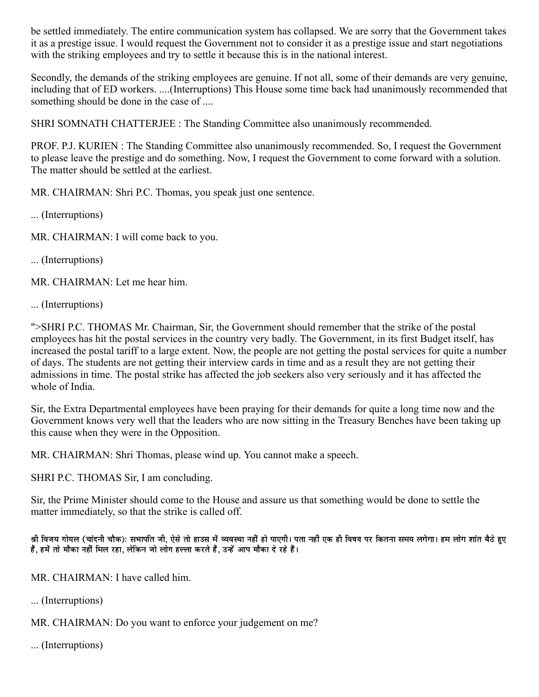be settled immediately. The entire communication system has collapsed. We are sorry that the Government takes it as a prestige issue. I would request the Government not to consider it as a prestige issue and start negotiations with the striking employees and try to settle it because this is in the national interest.

Secondly, the demands of the striking employees are genuine. If not all, some of their demands are very genuine, including that of ED workers. ....(Interruptions) This House some time back had unanimously recommended that something should be done in the case of ....

SHRI SOMNATH CHATTERJEE : The Standing Committee also unanimously recommended.

PROF. P.J. KURIEN : The Standing Committee also unanimously recommended. So, I request the Government to please leave the prestige and do something. Now, I request the Government to come forward with a solution. The matter should be settled at the earliest.

MR. CHAIRMAN: Shri P.C. Thomas, you speak just one sentence.

... (Interruptions)

MR. CHAIRMAN: I will come back to you.

... (Interruptions)

MR. CHAIRMAN: Let me hear him.

... (Interruptions)

">SHRI P.C. THOMAS Mr. Chairman, Sir, the Government should remember that the strike of the postal employees has hit the postal services in the country very badly. The Government, in its first Budget itself, has increased the postal tariff to a large extent. Now, the people are not getting the postal services for quite a number of days. The students are not getting their interview cards in time and as a result they are not getting their admissions in time. The postal strike has affected the job seekers also very seriously and it has affected the whole of India.

Sir, the Extra Departmental employees have been praying for their demands for quite a long time now and the Government knows very well that the leaders who are now sitting in the Treasury Benches have been taking up this cause when they were in the Opposition.

MR. CHAIRMAN: Shri Thomas, please wind up. You cannot make a speech.

SHRI P.C. THOMAS Sir, I am concluding.

Sir, the Prime Minister should come to the House and assure us that something would be done to settle the matter immediately, so that the strike is called off.

श्री विजय गोयल (चांदनी चौक): सभापति जी, ऐसे तो हाउस में व्यवस्था नहीं हो पाएगी। पता नहीं एक ही विषय पर कितना समय लगेगा। हम लोग शांत बैठे हुए हैं, हमें तो मौका नहीं मिल रहा, लेकिन जो लोग हल्ला करते हैं, उन्हें आप मौका दे रहे हैं।

MR. CHAIRMAN: I have called him.

... (Interruptions)

MR. CHAIRMAN: Do you want to enforce your judgement on me?

... (Interruptions)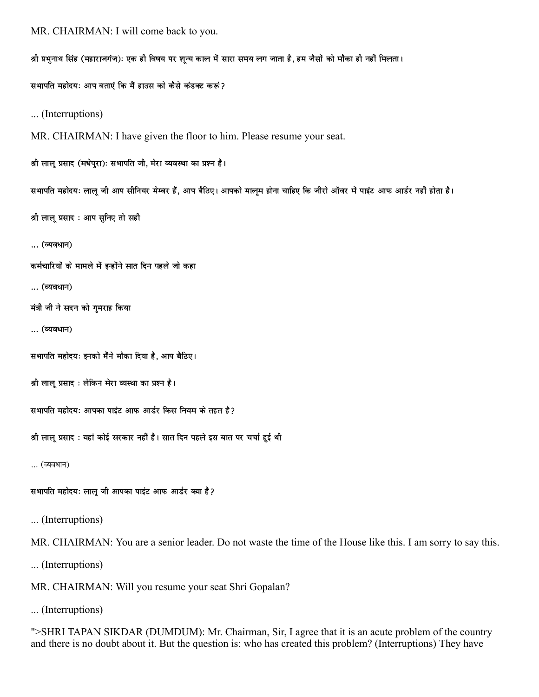```
MR. CHAIRMAN: I will come back to you.
```
श्री प्रभुनाथ सिंह (महाराजगंज): एक ही विषय पर शून्य काल में सारा समय लग जाता है, हम जैसों को मौका ही नहीं मिलता। सभापति महोदयः आप बताएं कि मैं हाउस को कैसे कंडक्ट करूं? ... (Interruptions) MR. CHAIRMAN: I have given the floor to him. Please resume your seat. श्री लाल प्रसाद (मधेपुरा): सभापति जी, मेरा व्यवस्था का प्रश्न है। सभापति महोदयः लाल् जी आप सीनियर मेम्बर हैं, आप बैठिए। आपको मालम होना चाहिए कि जीरो ऑवर में पाइंट आफ आर्डर नहीं होता है। श्री लालू प्रसाद : आप सुनिए तो सही ... (व्यवधान) कर्मचारियों के मामले में इन्होंने सात दिन पहले जो कहा ... (व्यवधान) मंत्री जी ने सदन को गुमराह किया ... (व्यवधान) सभापति महोदयः इनको मैंने मौका दिया है, आप बैठिए। श्री लाल प्रसाद : लेकिन मेरा व्यस्था का प्रश्न है। सभापति महोदयः आपका पाइंट आफ आर्डर किस नियम के तहत है? श्री लाल प्रसाद : यहां कोई सरकार नहीं है। सात दिन पहले इस बात पर चर्चा हुई थी ... (व्यवधान) सभापति महोदयः लालु जी आपका पाइंट आफ आर्डर क्या है ? ... (Interruptions) MR. CHAIRMAN: You are a senior leader. Do not waste the time of the House like this. I am sorry to say this. ... (Interruptions) MR. CHAIRMAN: Will you resume your seat Shri Gopalan?

... (Interruptions)

">SHRI TAPAN SIKDAR (DUMDUM): Mr. Chairman, Sir, I agree that it is an acute problem of the country and there is no doubt about it. But the question is: who has created this problem? (Interruptions) They have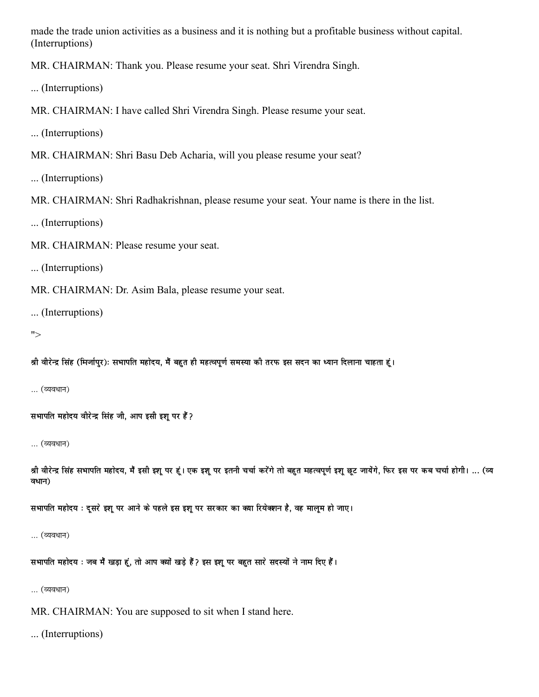made the trade union activities as a business and it is nothing but a profitable business without capital. (Interruptions)

MR. CHAIRMAN: Thank you. Please resume your seat. Shri Virendra Singh.

... (Interruptions)

MR. CHAIRMAN: I have called Shri Virendra Singh. Please resume your seat.

... (Interruptions)

MR. CHAIRMAN: Shri Basu Deb Acharia, will you please resume your seat?

... (Interruptions)

MR. CHAIRMAN: Shri Radhakrishnan, please resume your seat. Your name is there in the list.

... (Interruptions)

MR. CHAIRMAN: Please resume your seat.

... (Interruptions)

MR. CHAIRMAN: Dr. Asim Bala, please resume your seat.

... (Interruptions)

 $">$ 

श्री वीरेन्द्र सिंह (मिर्जापुर): सभापति महोदय, मैं बहुत ही महत्वपूर्ण समस्या की तरफ इस सदन का ध्यान दिलाना चाहता हूं।

… (व्यवधान)

सभापति महोदय वीरेन्द्र सिंह जी, आप इसी इशू पर हैं ?

… (व्यवधान)

श्री वीरेन्द्र सिंह सभापति महोदय, मैं इसी इशू पर हूं। एक इशू पर इतनी चर्चा करेंगे तो बहुत महत्वपूर्ण इशू छूट जायेंगे, फिर इस पर कब चर्चा होगी। ... (व्य वधान)

सभापति महोदय : दूसरे इशू पर आने के पहले इस इशू पर सरकार का क्या रियेक्शन है, वह मालूम हो जाए।

... (व्यवधान)

सभापति महोदय : जब मैं खड़ा हूं, तो आप क्यों खड़े हैं ? इस इशू पर बहुत सारे सदस्यों ने नाम दिए हैं।

... (व्यवधान)

MR. CHAIRMAN: You are supposed to sit when I stand here.

... (Interruptions)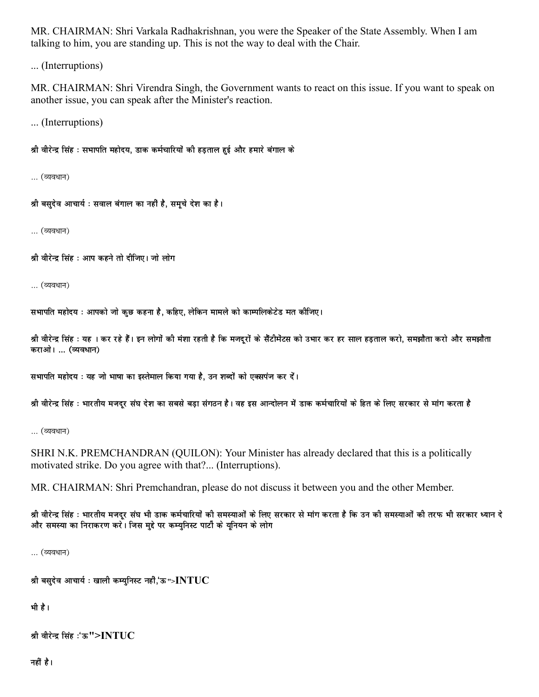MR. CHAIRMAN: Shri Varkala Radhakrishnan, you were the Speaker of the State Assembly. When I am talking to him, you are standing up. This is not the way to deal with the Chair.

... (Interruptions)

MR. CHAIRMAN: Shri Virendra Singh, the Government wants to react on this issue. If you want to speak on another issue, you can speak after the Minister's reaction.

... (Interruptions)

श्री वीरेन्द्र सिंह : सभापति महोदय, डाक कर्मचारियों की हडताल हुई और हमारे बंगाल के

... (व्यवधान)

श्री बसुदेव आचार्य : सवाल बंगाल का नहीं है, समूचे देश का है।

... (व्यवधान)

श्री वीरेन्द्र सिंह : आप कहने तो दीजिए। जो लोग

... (व्यवधान)

सभापति महोदय : आपको जो कछ कहना है. कहिए. लेकिन मामले को काम्पलिकेटेड मत कीजिए।

श्री वीरेन्द्र सिंह : यह । कर रहे हैं। इन लोगों की मंशा रहती है कि मजदरों के सैंटीमेंटस को उभार कर हर साल हडताल करो, समझौता करो और समझौता कराओ। ... (व्यवधान)

सभापति महोदय : यह जो भाषा का इस्तेमाल किया गया है, उन शब्दों को एक्सपंज कर दें।

श्री वीरेन्द्र सिंह : भारतीय मजदर संघ देश का सबसे बडा संगठन है। वह इस आन्दोलन में डाक कर्मचारियों के हित के लिए सरकार से मांग करता है

... (व्यवधान)

SHRI N.K. PREMCHANDRAN (QUILON): Your Minister has already declared that this is a politically motivated strike. Do you agree with that?... (Interruptions).

MR. CHAIRMAN: Shri Premchandran, please do not discuss it between you and the other Member.

श्री वीरेन्द्र सिंह : भारतीय मजदर संघ भी डाक कर्मचारियों की समस्याओं के लिए सरकार से मांग करता है कि उन की समस्याओं की तरफ भी सरकार ध्यान दे और समस्या का निराकरण करें। जिस मुद्दे पर कम्युनिस्ट पार्टी के युनियन के लोग

... (व्यवधान)

श्री बसुदेव आचार्य : खाली कम्युनिस्ट नहीं,'ऊ"> $\bold{INTUC}$ 

भी है।

```
श्री वीरेन्द्र सिंह :'ऊ">INTUC
```
नहीं है।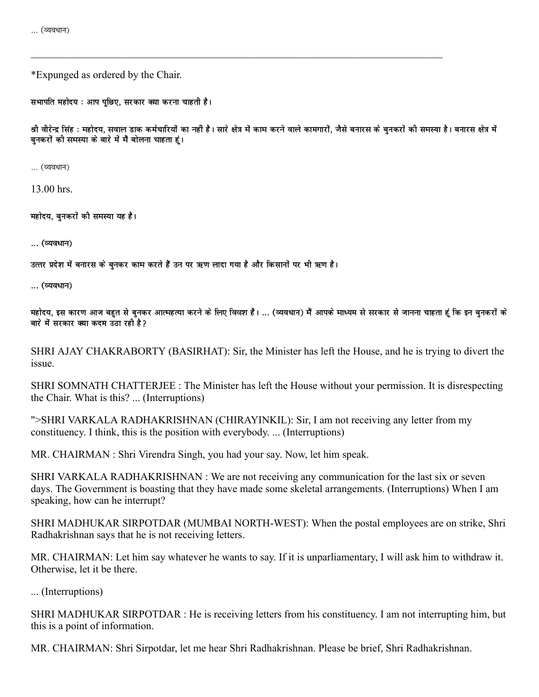\*Expunged as ordered by the Chair.

सभापति महोदय : आप पछिए, सरकार क्या करना चाहती है।

श्री वीरेन्द्र सिंह : महोदय, सवाल डाक कर्मचारियों का नहीं है। सारे क्षेत्र में काम करने वाले कामगारों, जैसे बनारस के बनकरों की समस्या है। बनारस क्षेत्र में बनकरों की समस्या के बारे में मैं बोलना चाहता हूं।

… (व्यवधान)

13.00 hrs.

महोदय, बनकरों की समस्या यह है।

... (व्यवधान)

उत्तर प्रदेश में बनारस के बनकर काम करते हैं उन पर ऋण लादा गया है और किसानों पर भी ऋण है।

... (व्यवधान)

महोदय, इस कारण आज बहुत से बनकर आत्महत्या करने के लिए विवश हैं। … (व्यवधान) मैं आपके माध्यम से सरकार से जानना चाहता हूं कि इन बनकरों के बारे में सरकार क्या कदम उठा रही है?

SHRI AJAY CHAKRABORTY (BASIRHAT): Sir, the Minister has left the House, and he is trying to divert the issue.

SHRI SOMNATH CHATTERJEE : The Minister has left the House without your permission. It is disrespecting the Chair. What is this? ... (Interruptions)

">SHRI VARKALA RADHAKRISHNAN (CHIRAYINKIL): Sir, I am not receiving any letter from my constituency. I think, this is the position with everybody. ... (Interruptions)

MR. CHAIRMAN: Shri Virendra Singh, you had your say. Now, let him speak.

SHRI VARKALA RADHAKRISHNAN : We are not receiving any communication for the last six or seven days. The Government is boasting that they have made some skeletal arrangements. (Interruptions) When I am speaking, how can he interrupt?

SHRI MADHUKAR SIRPOTDAR (MUMBAI NORTH-WEST): When the postal employees are on strike, Shri Radhakrishnan says that he is not receiving letters.

MR. CHAIRMAN: Let him say whatever he wants to say. If it is unparliamentary, I will ask him to withdraw it. Otherwise, let it be there.

... (Interruptions)

SHRI MADHUKAR SIRPOTDAR : He is receiving letters from his constituency. I am not interrupting him, but this is a point of information.

MR. CHAIRMAN: Shri Sirpotdar, let me hear Shri Radhakrishnan. Please be brief, Shri Radhakrishnan.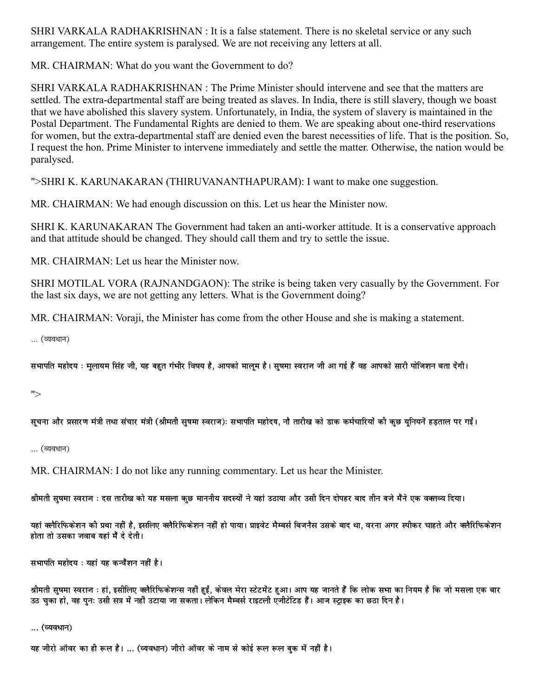SHRI VARKALA RADHAKRISHNAN : It is a false statement. There is no skeletal service or any such arrangement. The entire system is paralysed. We are not receiving any letters at all.

MR. CHAIRMAN: What do you want the Government to do?

SHRI VARKALA RADHAKRISHNAN : The Prime Minister should intervene and see that the matters are settled. The extra-departmental staff are being treated as slaves. In India, there is still slavery, though we boast that we have abolished this slavery system. Unfortunately, in India, the system of slavery is maintained in the Postal Department. The Fundamental Rights are denied to them. We are speaking about one-third reservations for women, but the extra-departmental staff are denied even the barest necessities of life. That is the position. So, I request the hon. Prime Minister to intervene immediately and settle the matter. Otherwise, the nation would be paralysed.

">SHRI K. KARUNAKARAN (THIRUVANANTHAPURAM): I want to make one suggestion.

MR. CHAIRMAN: We had enough discussion on this. Let us hear the Minister now.

SHRI K. KARUNAKARAN The Government had taken an anti-worker attitude. It is a conservative approach and that attitude should be changed. They should call them and try to settle the issue.

MR. CHAIRMAN: Let us hear the Minister now.

SHRI MOTILAL VORA (RAJNANDGAON): The strike is being taken very casually by the Government. For the last six days, we are not getting any letters. What is the Government doing?

MR. CHAIRMAN: Voraji, the Minister has come from the other House and she is making a statement.

... (व्यवधान)

सभापति महोदय : मुलायम सिंह जी, यह बहुत गंभीर विषय है, आपको मालम है। सुषमा स्वराज जी आ गई हैं वह आपको सारी पोजिशन बता देंगी।

 $">$ 

सूचना और प्रसारण मंत्री तथा संचार मंत्री (श्रीमती सुषमा स्वराज): सभापति महोदय, नौ तारीख को डाक कर्मचारियों की कुछ यूनियनें हड़ताल पर गईं।

... (व्यवधान)

MR. CHAIRMAN: I do not like any running commentary. Let us hear the Minister.

श्रीमती सुषमा स्वराज : दस तारीख को यह मसला कुछ माननीय सदस्यों ने यहां उठाया और उसी दिन दोपहर बाद तीन बजे मैंने एक वक्तव्य दिया।

यहां क्लैरिफिकेशन की प्रथा नहीं है, इसलिए क्लैरिफिकेशन नहीं हो पाया। प्राइवेट मैम्बर्स बिजनैस उसके बाद था, वरना अगर स्पीकर चाहते और क्लैरिफिकेशन होता तो उसका जवाब यहां मैं दे देती।

सभापति महोदय : यहां यह कन्वैंशन नहीं है।

श्रीमती सुषमा स्वराज : हां, इसीलिए क्लैरिफिकेशन्स नहीं हुईं, केवल मेरा स्टेटमेंट हुआ। आप यह जानते हैं कि लोक सभा का नियम है कि जो मसला एक बार उठ चुका हो, वह पुनः उसी सत्र में नहीं उटाया जा सकता। लेकिन मैम्बर्स राइटली एजीटेटिड हैं। आज स्ट्राइक का छठा दिन है।

... (व्यवधान)

यह जीरो ऑवर का ही रूल है। ... (व्यवधान) जीरो ऑवर के नाम से कोई रूल रूल बुक में नहीं है।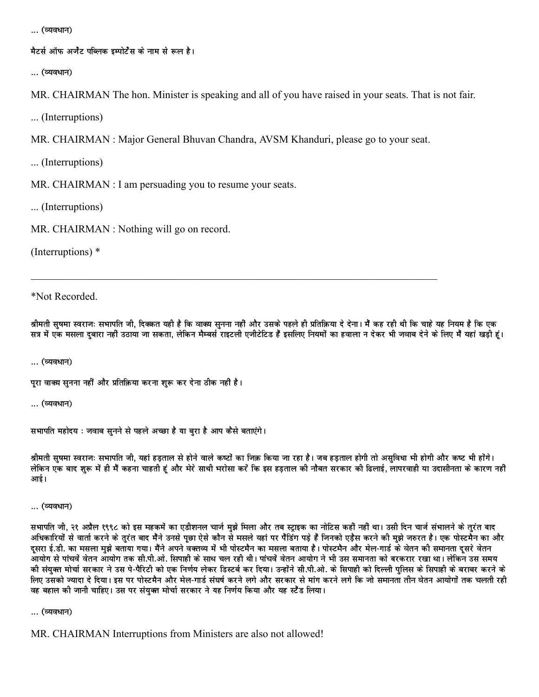... (व्यवधान)

मैटर्स ऑफ अर्जेंट पब्लिक इम्पोर्टेंस के नाम से रूल है।

... (व्यवधान)

MR. CHAIRMAN The hon. Minister is speaking and all of you have raised in your seats. That is not fair.

... (Interruptions)

MR. CHAIRMAN: Major General Bhuvan Chandra, AVSM Khanduri, please go to your seat.

... (Interruptions)

MR. CHAIRMAN : I am persuading you to resume your seats.

... (Interruptions)

MR. CHAIRMAN: Nothing will go on record.

(Interruptions)  $*$ 

\*Not Recorded.

श्रीमती सुषमा स्वराजः सभापति जी, दिक्कत यही है कि वाक्य सुनना नहीं और उसके पहले ही प्रतिक्रिया दे देना। मैं कह रही थी कि चाहे यह नियम है कि एक सत्र में एक मसला दबारा नहीं उठाया जा सकता, लेकिन मैम्बर्स राइटली एजीटेटिड हैं इसलिए नियमों का हवाला न देकर भी जवाब देने के लिए मैं यहां खड़ी हूं।

... (व्यवधान)

पूरा वाक्य सुनना नहीं और प्रतिक़िया करना शुरू कर देना ठीक नहीं है।

... (व्यवधान)

सभापति महोदय : जवाब सुनने से पहले अच्छा है या बुरा है आप कैसे बताएंगे।

श्रीमती सषमा स्वराजः सभापति जी. यहां हडताल से होने वाले कष्टों का जिक़ किया जा रहा है। जब हड़ताल होगी तो असुविधा भी होगी और कष्ट भी होंगे। लेकिन एक बाद शुरू में ही मैं कहना चाहती हूं और मेरे साथी भरोसा करें कि इस हडताल की नौबत सरकार की ढिलाई, लापरवाही या उदासीनता के कारण नहीं आई।

... (व्यवधान)

सभापति जी, २१ अप्रैल १९९८ को इस महकमें का एडीशनल चार्ज मझे मिला और तब स्टाइक का नोटिस कहीं नहीं था। उसी दिन चार्ज संभालने के तरंत बाद अधिकारियों से वार्ता करने के तुरंत बाद मैंने उनसे पूछा ऐसे कौन से मसले यहां पर पैंडिंग पड़े हैं जिनको एड़ैस करने की मुझे जरुरत है। एक पोस्टमैन का और दसरा ई.डी. का मसला मुझे बताया गया। मैंने अपने वक्तव्य में भी पोस्टमैन का मसला बताया है। पोस्टमैन और मेल-गार्ड के वेतन की समानता दसरे वेतन आयोग से पांचवें वेतन आयोग तक सी.पी.ओ. सिपाही के साथ चल रही थी। पांचवें वेतन आयोग ने भी उस समानता को बरकरार रखा था। लेकिन उस समय की संयुक्त मोर्चा सरकार ने उस पे-पैरिटी को एक निर्णय लेकर डिस्टर्ब कर दिया। उन्होंने सी.पी.ओ. के सिपाही को दिल्ली पुलिस के सिपाही के बराबर करने के लिए उसको ज्यादा दे दिया। इस पर पोस्टमैन और मेल-गार्ड संघर्ष करने लगे और सरकार से मांग करने लगे कि जो समानता तीन वेतन आयोगों तक चलती रही वह बहाल की जानी चाहिए। उस पर संयुक्त मोर्चा सरकार ने यह निर्णय किया और यह स्टैंड लिया।

... (व्यवधान)

MR. CHAIRMAN Interruptions from Ministers are also not allowed!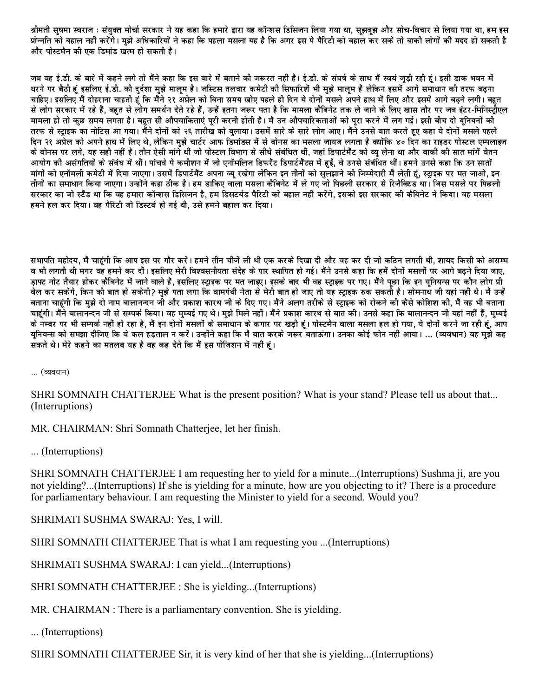श्रीमती सुषमा स्वराज : संयुक्त मोर्चा सरकार ने यह कहा कि हमारे द्वारा यह कॉन्शस डिसिजन लिया गया था, सझबुझ और सोच-विचार से लिया गया था, हम इस प्रोन्नति को बहाल नहीं करेंगे। मुझे अधिकारियों ने कहा कि पहला मसला यह है कि अगर इस पे पैरिटी को बहाल कर सकें तो बाकी लोगों की मदद हो सकती है और पोस्टमैन की एक डिमांड खत्म हो सकती है।

जब वह ई.डी. के बारे में कहने लगे तो मैंने कहा कि इस बारे में बताने की जरूरत नहीं है। ई.डी. के संघर्ष के साथ मैं स्वयं जड़ी रही हूं। इसी डाक भवन में .<br>धरने पर बैठी हूं इसलिए ई.डी. की दुर्दशा मुझे मालूम है। जस्टिस तलवार कमेटी की सिफारिशें भी मझे मालम हैं लेकिन इसमें आगे समाधान की तरफ बढना चाहिए। इसलिए मैं दोहराना चाहती हूं कि मैंने २१ अप्रेल को बिना समय खोए पहले ही दिन ये दोनों मसले अपने हाथ में लिए और इसमें आगे बढने लगी। बहुत से लोग सरकार में रहे हैं, बहुत से लोग समर्थन देते रहे हैं, उन्हें इतना जरूर पता है कि मामला कैबिनेट तक ले जाने के लिए खास तौर पर जब इंटर-मिनिस्टीएल मामला हो तो कुछ समय लगता है। बहुत सी औपचाकिताएं पुरी करनी होती हैं। मैं उन औपचारिकताओं को पुरा करने में लग गई। इसी बीच दो युनियनों की तरफ से स्ट्राइक का नोटिस आ गया। मैंने दोनों को २६ तारीख को बुलाया। उसमें सारे के सारे लोग आए। मैंने उनसे बात करते हुए कहा ये दोनों मसले पहले दिन २१ अप्रेल को अपने हाथ में लिए थे, लेकिन मुझे चार्टर आफ डिमांडस में से बोनस का मसला जायज लगता है क्योंकि ४० दिन का राइडर पोस्टल एम्पलाइज के बोनस पर लगे, यह सही नहीं है। तीन ऐसी मांगे थी जो पोस्टल विभाग से सीधे संबंधित थीं, जहां डिपार्टमैंट को व्य लेना था और बाकी की सात मांगें वेतन आयोग की असंगतियों के संबंध में थीं। पांचवे पे कमीशन में जो एनॉमलिज डिफरैंट डिपार्टमैंटस में हुईं, वे उनसे संबंधित थीं। हमने उनसे कहा कि उन सातों मांगों को एनॉमली कमेटी में दिया जाएगा। उसमें डिपार्टमैंट अपना व्य रखेगा लेकिन इन तीनों को सलझाने की जिम्मेदारी मैं लेती हूं, स्टाइक पर मत जाओ, इन तीनों का समाधान किया जाएगा। उन्होंने कहा ठीक है। हम डाकिए वाला मसला कैबिनेट में ले गए जो पिछली सरकार से रिजैक्टिड था। जिस मसले पर पिछली सरकार का जो स्टैंड था कि वह हमारा कॉन्शस डिसिजन है, हम डिसटर्बड पैरिटी को बहाल नहीं करेंगे, इसको इस सरकार की कैबिनेट ने किया। वह मसला हमने हल कर दिया। वह पैरिटी जो डिस्टर्ब हो गई थी. उसे हमने बहाल कर दिया।

सभापति महोदय, मैं चाहंगी कि आप इस पर गौर करें। हमने तीन चीजें ली थी एक करके दिखा दी और वह कर दी जो कठिन लगती थी, शायद किसी को असम्भ व भी लगती थी मगर वह हमने कर दीं। इसलिए मेरी विश्वसनीयता संदेह के पार स्थापित हो गई। मैंने उनसे कहा कि हमें दोनों मसलों पर आगे बढ़ने दिया जाए, डाफ्ट नोट तैयार होकर कैबिनेट में जाने वाले हैं, इसलिए स्टाइक पर मत जाइए। इसके बाद भी वह स्टाइक पर गए। मैंने पछा कि इन युनियन्स पर कौन लोग प्री वेल कर सकेंगे, किन की बात हो सकेगी? मुझे पता लगा कि वामपंथी नेता से मेरी बात हो जाए तो यह स्टाइक रुक सकतो है। सोमनाथ जी यहां नहीं थे। मैं उन्हें बताना चाहंगी कि मुझे दो नाम बालानन्दन जो और प्रकाश कारथ जी के दिए गए। मैंने अलग तरीके से स्टाइक को रोकने की कैसे कोशिश की, मैं वह भी बताना चाहंगी। मैंने बालानन्दन जी से सम्पर्क किया। वह मम्बई गए थे। मुझे मिले नहीं। मैंने प्रकाश कारथ से बात की। उनसे कहा कि बालानन्दन जी यहां नहीं हैं, मम्बई के नम्बर पर भी सम्पर्क नहीं हो रहा है, मैं इन दोनों मसलों के समाधान के कगार पर खडी हूं। पोस्टमैन वाला मसला हल हो गया, ये दोनों करने जा रही हूं, आप यनियन्स को समझा दीजिए कि वे कल हडताल न करें। उन्होंने कहा कि मैं बात करके जरूर बताऊंगा। उनका कोई फोन नहीं आया। … (व्यवधान) वह मुझे कह ्<br>सकते थे। मेरे कहने का मतलब यह है वह कह देते कि मैं इस पोजिशन में नहीं हूं।

... (व्यवधान)

SHRI SOMNATH CHATTERJEE What is the present position? What is your stand? Please tell us about that... (Interruptions)

MR. CHAIRMAN: Shri Somnath Chatterjee, let her finish.

... (Interruptions)

SHRI SOMNATH CHATTERJEE I am requesting her to yield for a minute...(Interruptions) Sushma ji, are you not yielding?...(Interruptions) If she is yielding for a minute, how are you objecting to it? There is a procedure for parliamentary behaviour. I am requesting the Minister to yield for a second. Would you?

SHRIMATI SUSHMA SWARAJ: Yes, I will.

SHRI SOMNATH CHATTERJEE That is what I am requesting you ...(Interruptions)

SHRIMATI SUSHMA SWARAJ: I can yield...(Interruptions)

SHRI SOMNATH CHATTERJEE : She is yielding...(Interruptions)

MR. CHAIRMAN : There is a parliamentary convention. She is yielding.

... (Interruptions)

SHRI SOMNATH CHATTERJEE Sir, it is very kind of her that she is yielding...(Interruptions)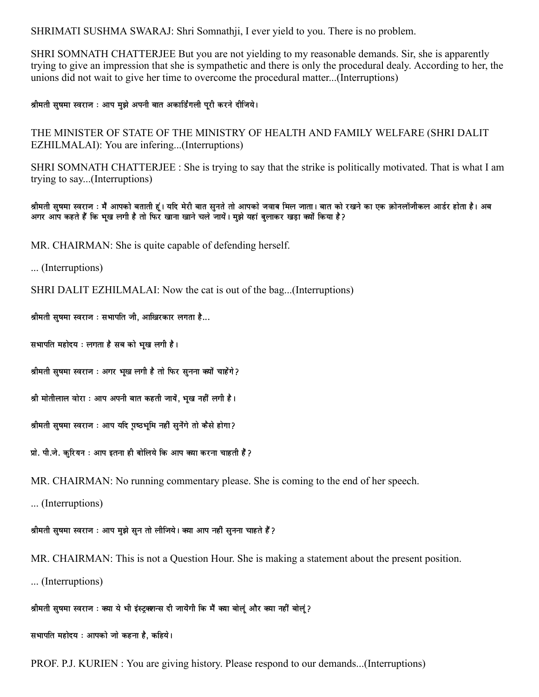SHRIMATI SUSHMA SWARAJ: Shri Somnathji, I ever yield to you. There is no problem.

SHRI SOMNATH CHATTERJEE But you are not yielding to my reasonable demands. Sir, she is apparently trying to give an impression that she is sympathetic and there is only the procedural dealy. According to her, the unions did not wait to give her time to overcome the procedural matter...(Interruptions)

श्रीमती सुषमा स्वराज : आप मुझे अपनी बात अकार्डिंगली पुरी करने दीजिये।

THE MINISTER OF STATE OF THE MINISTRY OF HEALTH AND FAMILY WELFARE (SHRI DALIT EZHILMALAI): You are infering...(Interruptions)

SHRI SOMNATH CHATTERJEE : She is trying to say that the strike is politically motivated. That is what I am trying to say...(Interruptions)

श्रीमती सुषमा स्वराज : मैं आपको बताती हूं। यदि मेरी बात सुनते तो आपको जवाब मिल जाता। बात को रखने का एक कोनलॉजीकल आर्डर होता है। अब (अगर आप कहते हैं कि भूख लगी है तो फिर खाना खाने चले जायें। मुझे यहां बुलाकर खड़ा क्यों किया है

MR. CHAIRMAN: She is quite capable of defending herself.

... (Interruptions)

SHRI DALIT EZHILMALAI: Now the cat is out of the bag...(Interruptions)

श्रीमती सुषमा स्वराज : सभापति जी, आखिरकार लगता है...

सभापति महोदय : लगता है सब को भूख लगी है।

श्रीमती सुषमा स्वराज : अगर भूख लगी है तो फिर सुनना क्यों चाहेंगे ?

श्री मोतीलाल वोरा : आप अपनी बात कहती जायें, भुख नहीं लगी है।

श्रीमती सुषमा स्वराज : आप यदि प्रष्ठभूमि नहीं सुनेंगे तो कैसे होगा?

प्रो. पी.जे. करियन : आप इतना ही बोलिये कि आप क्या करना चाहती हैं ?

MR. CHAIRMAN: No running commentary please. She is coming to the end of her speech.

... (Interruptions)

श्रीमती सुषमा स्वराज : आप मुझे सुन तो लीजिये। क्या आप नहीं सुनना चाहते हैं ?

MR. CHAIRMAN: This is not a Question Hour. She is making a statement about the present position.

... (Interruptions)

श्रीमती सुषमा स्वराज : क्या ये भी इंस्ट्रक्शन्स दी जायेंगी कि मैं क्या बोलुं और क्या नहीं बोलुं?

सभापति महोदय : आपको जो कहना है, कहिये।

PROF. P.J. KURIEN: You are giving history. Please respond to our demands...(Interruptions)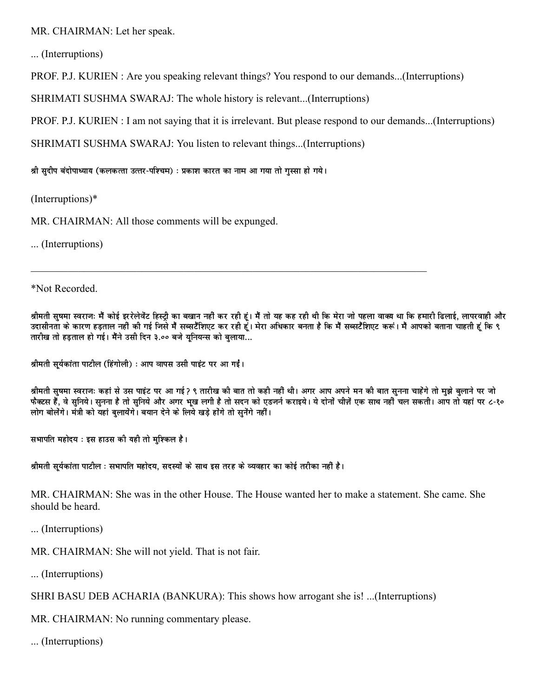MR. CHAIRMAN: Let her speak.

... (Interruptions)

PROF. P.J. KURIEN: Are you speaking relevant things? You respond to our demands...(Interruptions)

SHRIMATI SUSHMA SWARAJ: The whole history is relevant...(Interruptions)

PROF. P.J. KURIEN: I am not saying that it is irrelevant. But please respond to our demands...(Interruptions)

SHRIMATI SUSHMA SWARAJ: You listen to relevant things...(Interruptions)

श्री सुदीप बंदोपाध्याय (कलकत्ता उत्तर-पश्चिम) : प्रकाश कारत का नाम आ गया तो गुस्सा हो गये।

 $(Interruptions)*$ 

MR. CHAIRMAN: All those comments will be expunged.

... (Interruptions)

\*Not Recorded.

श्रीमती सुषमा स्वराजः मैं कोई इररेलेवेंट हिस्ट्री का बखान नहीं कर रही हूं। मैं तो यह कह रही थी कि मेरा जो पहला वाक्य था कि हमारी ढिलाई, लापरवाही और उदासीनता के कारण हडताल नहीं की गई जिसे मैं सब्सटैंशिएट कर रही हूं। मेरा अधिकार बनता है कि मैं सब्सटैंशिएट करूं। मैं आपको बताना चाहती हूं कि ९ तारीख तो हडताल हो गई। मैंने उसी दिन ३.०० बजे युनियन्स को बुलाया...

श्रीमती सुर्यकांता पाटील (हिंगोली) : आप वापस उसी पाइंट पर आ गईं।

श्रीमती सुषमा स्वराजः कहां से उस पाइंट पर आ गई? ९ तारीख की बात तो कही नहीं थी। अगर आप अपने मन की बात सनना चाहेंगे तो मुझे बलाने पर जो फैक्टस हैं, वे सुनिये। सुनना है तो सुनिये और अगर भुख लगी है तो सदन को एडजर्न कराइये। ये दोनों चीज़ें एक साथ नहीं चल सकती। आप तो यहां पर ८-१० लोग बोलेंगे। मंत्री को यहां बलायेंगे। बयान देने के लिये खड़े होंगे तो सनेंगे नहीं।

सभापति महोदय : इस हाउस की यही तो मुश्किल है।

श्रीमती सुर्यकांता पाटील : सभापति महोदय, सदस्यों के साथ इस तरह के व्यवहार का कोई तरीका नहीं है।

MR. CHAIRMAN: She was in the other House. The House wanted her to make a statement. She came. She should be heard.

... (Interruptions)

MR. CHAIRMAN: She will not yield. That is not fair.

... (Interruptions)

SHRI BASU DEB ACHARIA (BANKURA): This shows how arrogant she is! ...(Interruptions)

MR. CHAIRMAN: No running commentary please.

... (Interruptions)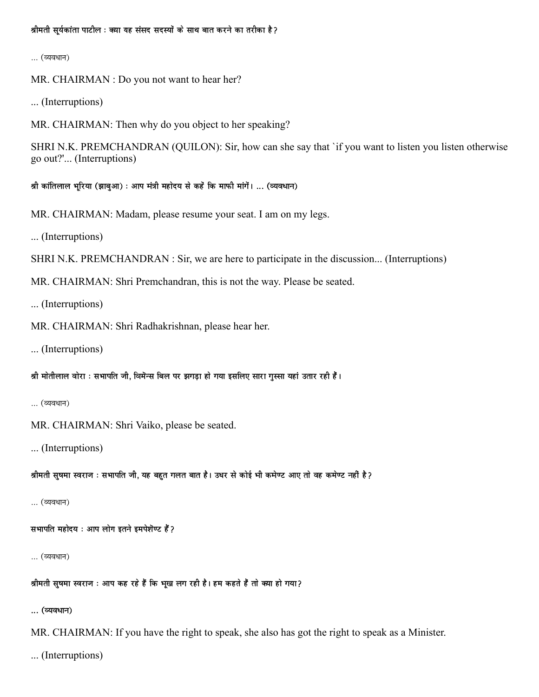श्रीमती सर्यकांता पाटील : क्या यह संसद सदस्यों के साथ बात करने का तरीका है ?

... (व्यवधान)

MR. CHAIRMAN : Do you not want to hear her?

... (Interruptions)

MR. CHAIRMAN: Then why do you object to her speaking?

SHRI N.K. PREMCHANDRAN (QUILON): Sir, how can she say that 'if you want to listen you listen otherwise go out?'... (Interruptions)

श्री कांतिलाल भरिया (झाबुआ) : आप मंत्री महोदय से कहें कि माफी मांगें। ... (व्यवधान)

MR. CHAIRMAN: Madam, please resume your seat. I am on my legs.

... (Interruptions)

SHRI N.K. PREMCHANDRAN : Sir, we are here to participate in the discussion... (Interruptions)

MR. CHAIRMAN: Shri Premchandran, this is not the way. Please be seated.

... (Interruptions)

MR. CHAIRMAN: Shri Radhakrishnan, please hear her.

... (Interruptions)

श्री मोतीलाल वोरा : सभापति जी, विमेन्स बिल पर झगड़ा हो गया इसलिए सारा गुस्सा यहां उतार रही हैं।

```
... (व्यवधान)
```
MR. CHAIRMAN: Shri Vaiko, please be seated.

... (Interruptions)

श्रीमती सुषमा स्वराज : सभापति जी, यह बहुत गलत बात है। उधर से कोई भी कमेण्ट आए तो वह कमेण्ट नहीं है?

... (व्यवधान)

सभापति महोदय: आप लोग इतने इमपेशॆण्ट हैं?

... (व्यवधान)

श्रीमती सुषमा स्वराज : आप कह रहे हैं कि भूख लग रही है। हम कहते हैं तो क्या हो गया?

... (व्यवधान)

MR. CHAIRMAN: If you have the right to speak, she also has got the right to speak as a Minister.

... (Interruptions)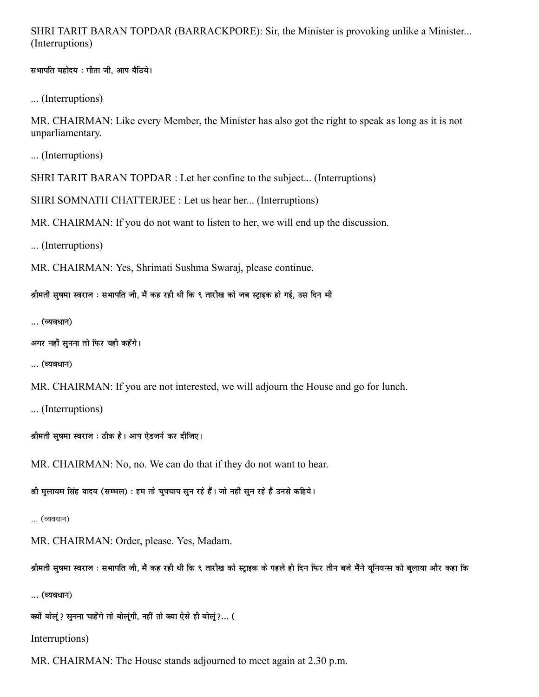## SHRI TARIT BARAN TOPDAR (BARRACKPORE): Sir, the Minister is provoking unlike a Minister... (Interruptions)

सभापति महोदय: गीता जी, आप बैठिये।

... (Interruptions)

MR. CHAIRMAN: Like every Member, the Minister has also got the right to speak as long as it is not unparliamentary.

... (Interruptions)

SHRI TARIT BARAN TOPDAR : Let her confine to the subject... (Interruptions)

SHRI SOMNATH CHATTERJEE : Let us hear her... (Interruptions)

MR. CHAIRMAN: If you do not want to listen to her, we will end up the discussion.

... (Interruptions)

MR. CHAIRMAN: Yes, Shrimati Sushma Swaraj, please continue.

श्रीमती सुषमा स्वराज : सभापति जी, मैं कह रही थी कि ९ तारीख को जब स्ट्राइक हो गई, उस दिन भी

... (व्यवधान)

```
अगर नहीं सुनना तो फिर यही कहेंगे।
```
... (व्यवधान)

MR. CHAIRMAN: If you are not interested, we will adjourn the House and go for lunch.

... (Interruptions)

श्रीमती सुषमा स्वराज : ठीक है। आप ऐडजर्न कर दीजिए।

MR. CHAIRMAN: No, no. We can do that if they do not want to hear.

श्री मुलायम सिंह यादव (सम्भल) : हम तो चुपचाप सुन रहे हैं। जो नहीं सुन रहे हैं उनसे कहिये।

... (व्यवधान)

MR. CHAIRMAN: Order, please. Yes, Madam.

श्रीमती सुषमा स्वराज : सभापति जी, मैं कह रही थी कि ९ तारीख को स्ट्राइक के पहले ही दिन फिर तीन बजे मैंने यूनियन्स को बुलाया और कहा कि

... (व्यवधान)

क्यों बोलूं? सुनना चाहेंगे तो बोलूंगी, नहीं तो क्या ऐसे ही बोलूं?... (

Interruptions)

MR. CHAIRMAN: The House stands adjourned to meet again at 2.30 p.m.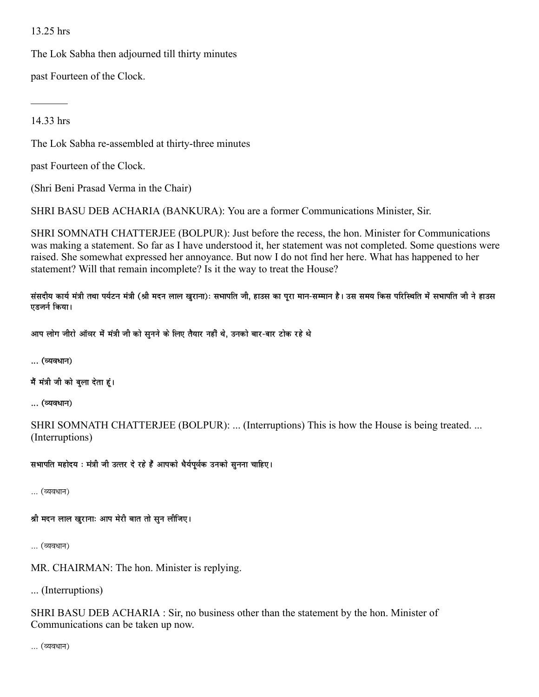## 13.25 hrs

The Lok Sabha then adjourned till thirty minutes

past Fourteen of the Clock.

14.33 hrs

The Lok Sabha re-assembled at thirty-three minutes

past Fourteen of the Clock.

(Shri Beni Prasad Verma in the Chair)

SHRI BASU DEB ACHARIA (BANKURA): You are a former Communications Minister, Sir.

SHRI SOMNATH CHATTERJEE (BOLPUR): Just before the recess, the hon. Minister for Communications was making a statement. So far as I have understood it, her statement was not completed. Some questions were raised. She somewhat expressed her annoyance. But now I do not find her here. What has happened to her statement? Will that remain incomplete? Is it the way to treat the House?

संसदीय कार्य मंत्री तथा पर्यटन मंत्री (श्री मदन लाल खुराना): सभापति जी, हाउस का पुरा मान-सम्मान है। उस समय किस परिस्थिति में सभापति जी ने हाउस एडजर्न किया।

आप लोग जीरो ऑवर में मंत्री जी को सुनने के लिए तैयार नहीं थे, उनको बार-बार टोक रहे थे

... (व्यवधान)

मैं मंत्री जी को बुला देता हूं।

... (व्यवधान)

SHRI SOMNATH CHATTERJEE (BOLPUR): ... (Interruptions) This is how the House is being treated. ... (Interruptions)

सभापति महोदय : मंत्री जी उत्तर दे रहे हैं आपको धैर्यपूर्वक उनको सुनना चाहिए।

… (व्यवधान)

श्री मदन लाल खुरानाः आप मेरी बात तो सुन लीजिए।

... (व्यवधान)

MR. CHAIRMAN: The hon. Minister is replying.

... (Interruptions)

SHRI BASU DEB ACHARIA : Sir, no business other than the statement by the hon. Minister of Communications can be taken up now.

… (व्यवधान)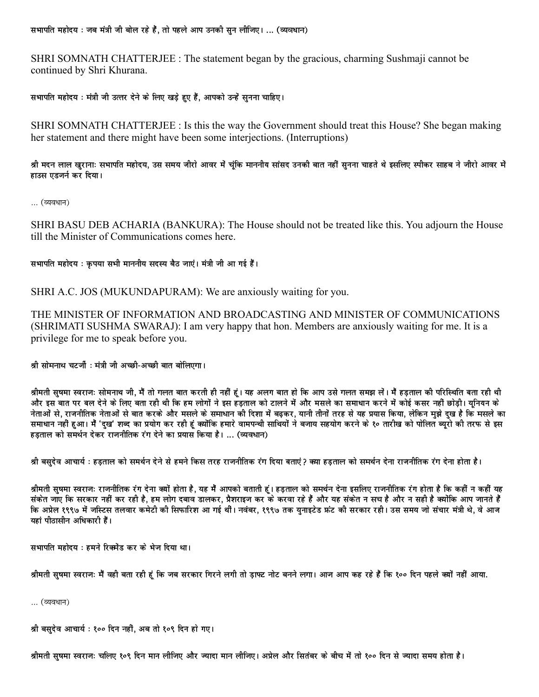सभापति महोदय : जब मंत्री जी बोल रहे हैं, तो पहले आप उनकी सुन लीजिए। ... (व्यवधान)

SHRI SOMNATH CHATTERJEE : The statement began by the gracious, charming Sushmaji cannot be continued by Shri Khurana.

सभापति महोदय : मंत्री जी उत्तर देने के लिए खड़े हुए हैं, आपको उन्हें सुनना चाहिए।

SHRI SOMNATH CHATTERJEE : Is this the way the Government should treat this House? She began making her statement and there might have been some interjections. (Interruptions)

श्री मदन लाल खुरानाः सभापति महोदय, उस समय जीरो आवर में चंकि माननीय सांसद उनकी बात नहीं सुनना चाहते थे इसलिए स्पीकर साहब ने जीरो आवर में हाउस एडजर्न कर दिया।

... (व्यवधान)

SHRI BASU DEB ACHARIA (BANKURA): The House should not be treated like this. You adjourn the House till the Minister of Communications comes here.

सभापति महोदय : कृपया सभी माननीय सदस्य बैठ जाएं। मंत्री जी आ गई हैं।

SHRI A.C. JOS (MUKUNDAPURAM): We are anxiously waiting for you.

THE MINISTER OF INFORMATION AND BROADCASTING AND MINISTER OF COMMUNICATIONS (SHRIMATI SUSHMA SWARAJ): I am very happy that hon. Members are anxiously waiting for me. It is a privilege for me to speak before you.

श्री सोमनाथ चटर्जी : मंत्री जी अच्छी-अच्छी बात बोलिएगा।

श्रीमती सुषमा स्वराजः सोमनाथ जी, मैं तो गलत बात करती ही नहीं हूं। यह अलग बात हो कि आप उसे गलत समझ लें। मैं हड़ताल की परिस्थिति बता रही थी और इस बात पर बल देने के लिए बता रही थी कि हम लोगों ने इस हड़ताल को टालने में और मसले का समाधान करने में कोई कसर नहीं छोडी। युनियन के नेताओं से. राजनीतिक नेताओं से बात करके और मसले के समाधान की दिशा में बढकर. यानी तीनों तरह से यह प्रयास किया. लेकिन मझे दख है कि मसले का .<br>समाधान नहीं हुआ। मैं 'दुख' शब्द का प्रयोग कर रही हूं क्योंकि हमारे वामपन्थी साथियों ने बजाय सहयोग करने के १० तारीख को पोलित ब्यरो की तरफ से इस हडताल को समर्थन देकर राजनीतिक रंग देने का प्रयास किया है। … (व्यवधान)

श्री बसुदेव आचार्य : हड़ताल को समर्थन देने से हमने किस तरह राजनीतिक रंग दिया बताएं? क्या हडताल को समर्थन देना राजनीतिक रंग देना होता है।

श्रीमती सुषमा स्वराजः राजनीतिक रंग देना क्यों होता है, यह मैं आपको बताती हूं। हड़ताल को समर्थन देना इसलिए राजनीतिक रंग होता है कि कहीं न कहीं यह संकेत जाए कि सरकार नहीं कर रही है, हम लोग दबाव डालकर, प्रैशराइज कर के करवा रहे हैं और यह संकेत न सच है और न सही है क्योंकि आप जानते हैं कि अप्रेल १९९७ में जस्टिस तलवार कमेटी की सिफारिश आ गई थीं। नवंबर, १९९७ तक युनाइटेड फ्रंट की सरकार रही। उस समय जो संचार मंत्री थे, वे आज यहां पीठासीन अधिकारी हैं।

सभापति महोदय : हमने रिक्मेंड कर के भेज दिया था।

श्रीमती सुषमा स्वराजः मैं वही बता रही हूं कि जब सरकार गिरने लगी तो डाफ्ट नोट बनने लगा। आज आप कह रहे हैं कि १०० दिन पहले क्यों नहीं आया.

... (व्यवधान)

श्री बसुदेव आचार्य : १०० दिन नहीं, अब तो १०९ दिन हो गए।

श्रीमती सषमा स्वराज: चलिए १०९ दिन मान लीजिए और ज्यादा मान लीजिए। अप्रेल और सितंबर के बीच में तो १०० दिन से ज्यादा समय होता है।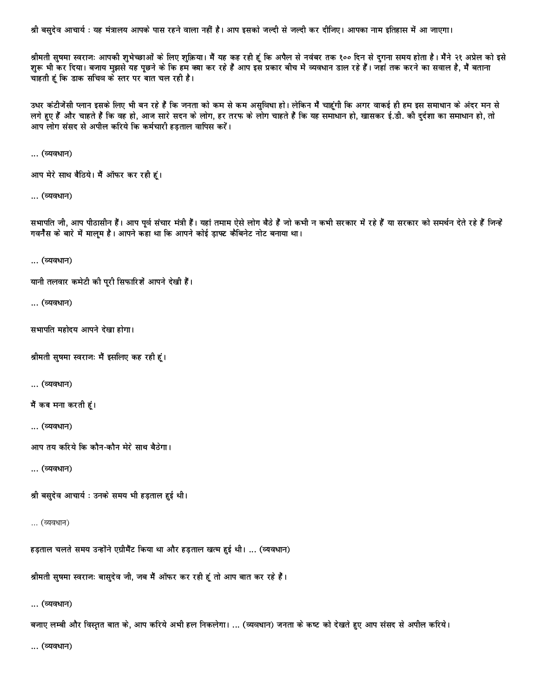श्री बसुदेव आचार्य : यह मंत्रालय आपके पास रहने वाला नहीं है। आप इसको जल्दी से जल्दी कर दीजिए। आपका नाम इतिहास में आ जाएगा।

श्रीमती सुषमा स्वराजः आपकी शुभेच्छाओं के लिए शुक्रिया। मैं यह कह रही हूं कि अपैल से नवंबर तक १०० दिन से दुगना समय होता है। मैंने २१ अप्रेल को इसे शुरू भी कर दिया। बजाय मुझसे यह पूछने के कि हम क्या कर रहे हैं आप इस प्रकार बीच में व्यवधान डाल रहे हैं। जहां तक करने का सवाल है, मैं बताना चाहती हूं कि डाक सचिव के स्तर पर बात चल रही है।

उधर कंटीजेंसी प्लान इसके लिए भी बन रहे हैं कि जनता को कम से कम असुविधा हो। लेकिन मैं चाहूंगी कि अगर वाकई ही हम इस समाधान के अंदर मन से लगे हुए हैं और चाहते हैं कि वह हो, आज सारे सदन के लोग, हर तरफ के लोग चाहते हैं कि यह समाधान हो, खासकर ई.डी. की दुर्दशा का समाधान हो, तो आप लोग संसद से अपील करिये कि कर्मचारी हडताल वापिस करें।

... (व्यवधान)

```
आप मेरे साथ बैठिये। मैं ऑफर कर रही हूं।
```
... (व्यवधान)

सभापति जी, आप पीठासीन हैं। आप पूर्व संचार मंत्री हैं। यहां तमाम ऐसे लोग बैठे हैं जो कभी न कभी सरकार में रहे हैं या सरकार को समर्थन देते रहे हैं जिन्हें गवनैस के बारे में मालम है। आपने कहा था कि आपने कोई डाफ्ट कैबिनेट नोट बनाया था।

```
... (व्यवधान)
```

```
यानी तलवार कमेटी की पुरी सिफारिशें आपने देखी हैं।
```

```
... (व्यवधान)
```
सभापति महोदय आपने देखा होगा।

श्रीमती सुषमा स्वराजः मैं इसलिए कह रही हूं।

... (व्यवधान)

```
मैं कब मना करती हूं।
```

```
... (व्यवधान)
```

```
आप तय करिये कि कौन-कौन मेरे साथ बैठेगा।
```

```
... (व्यवधान)
```
श्री बसुदेव आचार्य : उनके समय भी हड़ताल हुई थी।

```
... (व्यवधान)
```
हड़ताल चलते समय उन्होंने एग्रीमैंट किया था और हड़ताल खत्म हुई थी। ... (व्यवधान)

श्रीमती सुषमा स्वराजः बासुदेव जी, जब मैं ऑफर कर रही हूं तो आप बात कर रहे हैं।

... (व्यवधान)

बजाए लम्बी और विस्तृत बात के, आप करिये अभी हल निकलेगा। … (व्यवधान) जनता के कष्ट को देखते हुए आप संसद से अपील करिये।

... (व्यवधान)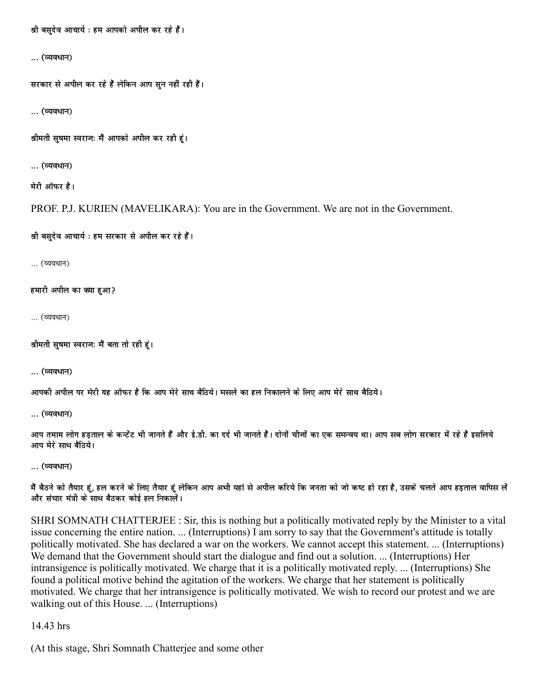श्री बसुदेव आचार्य : हम आपको अपील कर रहे हैं।

... (व्यवधान)

सरकार से अपील कर रहे हैं लेकिन आप सन नहीं रही हैं।

... (व्यवधान)

श्रीमती सुषमा स्वराजः मैं आपको अपील कर रही हूं।

... (व्यवधान)

मेरी ऑफर है।

PROF. P.J. KURIEN (MAVELIKARA): You are in the Government. We are not in the Government.

श्री बसुदेव आचार्य : हम सरकार से अपील कर रहे हैं।

... (व्यवधान)

हमारी अपील का क्या हुआ?

... (व्यवधान)

श्रीमती सुषमा स्वराजः मैं बता तो रही हूं।

... (व्यवधान)

आपकी अपील पर मेरी यह ऑफर है कि आप मेरे साथ बैठिये। मसले का हल निकालने के लिए आप मेरे साथ बैठिये।

... (व्यवधान)

आप तमाम लोग हडताल के कन्टेंट भी जानते हैं और ई.डी. का दर्द भी जानते हैं। दोनों चीजों का एक समन्वय था। आप सब लोग सरकार में रहे हैं इसलिये आप मेरे साथ बैठिये।

... (व्यवधान)

मैं बैठने को तैयार हूं, हल करने के लिए तैयार हूं लेकिन आप अभी यहां से अपील करिये कि जनता को जो कष्ट हो रहा है, उसके चलते आप हडताल वापिस लें और संचार मंत्री के साथ बैठकर कोई हल निकालें।

SHRI SOMNATH CHATTERJEE : Sir, this is nothing but a politically motivated reply by the Minister to a vital issue concerning the entire nation. ... (Interruptions) I am sorry to say that the Government's attitude is totally politically motivated. She has declared a war on the workers. We cannot accept this statement. ... (Interruptions) We demand that the Government should start the dialogue and find out a solution. ... (Interruptions) Her intransigence is politically motivated. We charge that it is a politically motivated reply. ... (Interruptions) She found a political motive behind the agitation of the workers. We charge that her statement is politically motivated. We charge that her intransigence is politically motivated. We wish to record our protest and we are walking out of this House. ... (Interruptions)

14.43 hrs

(At this stage, Shri Somnath Chatterjee and some other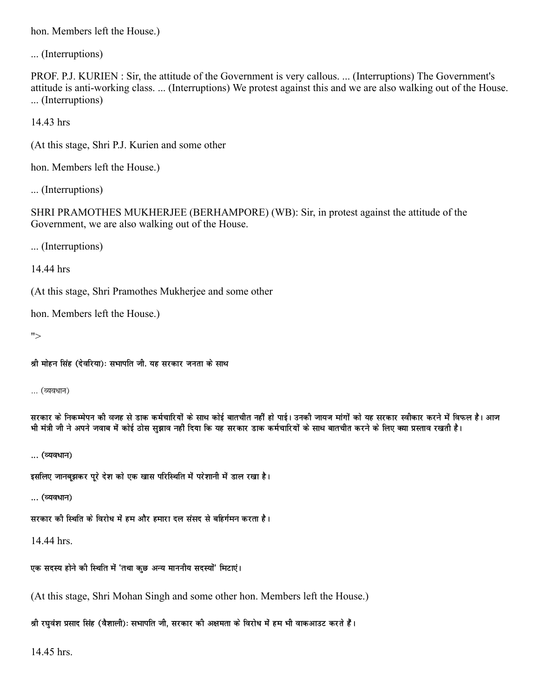hon. Members left the House.)

... (Interruptions)

PROF. P.J. KURIEN: Sir, the attitude of the Government is very callous. ... (Interruptions) The Government's attitude is anti-working class. ... (Interruptions) We protest against this and we are also walking out of the House. ... (Interruptions)

14.43 hrs

(At this stage, Shri P.J. Kurien and some other

hon. Members left the House.)

... (Interruptions)

SHRI PRAMOTHES MUKHERJEE (BERHAMPORE) (WB): Sir, in protest against the attitude of the Government, we are also walking out of the House.

... (Interruptions)

14.44 hrs

(At this stage, Shri Pramothes Mukherjee and some other

hon. Members left the House.)

 $">$ 

श्री मोहन सिंह (देवरिया): सभापति जी. यह सरकार जनता के साथ

... (व्यवधान)

सरकार के निकम्मेपन की वजह से डाक कर्मचारियों के साथ कोई बातचीत नहीं हो पाई। उनकी जायज मांगों को यह सरकार स्वीकार करने में विफल है। आज भी मंत्री जी ने अपने जवाब में कोई ठोस सझाव नहीं दिया कि यह सरकार डाक कर्मचारियों के साथ बातचीत करने के लिए क्या प्रस्ताव रखती है।

... (व्यवधान)

इसलिए जानबुझकर पूरे देश को एक खास परिस्थिति में परेशानी में डाल रखा है।

... (व्यवधान)

सरकार की स्थिति के विरोध में हम और हमारा दल संसद से बहिर्गमन करता है।

14.44 hrs.

एक सदस्य होने की स्थिति में 'तथा कुछ अन्य माननीय सदस्यों' मिटाएं।

(At this stage, Shri Mohan Singh and some other hon. Members left the House.)

श्री रघुवंश प्रसाद सिंह (वैशाली): सभापति जी, सरकार की अक्षमता के विरोध में हम भी वाकआउट करते हैं।

14.45 hrs.